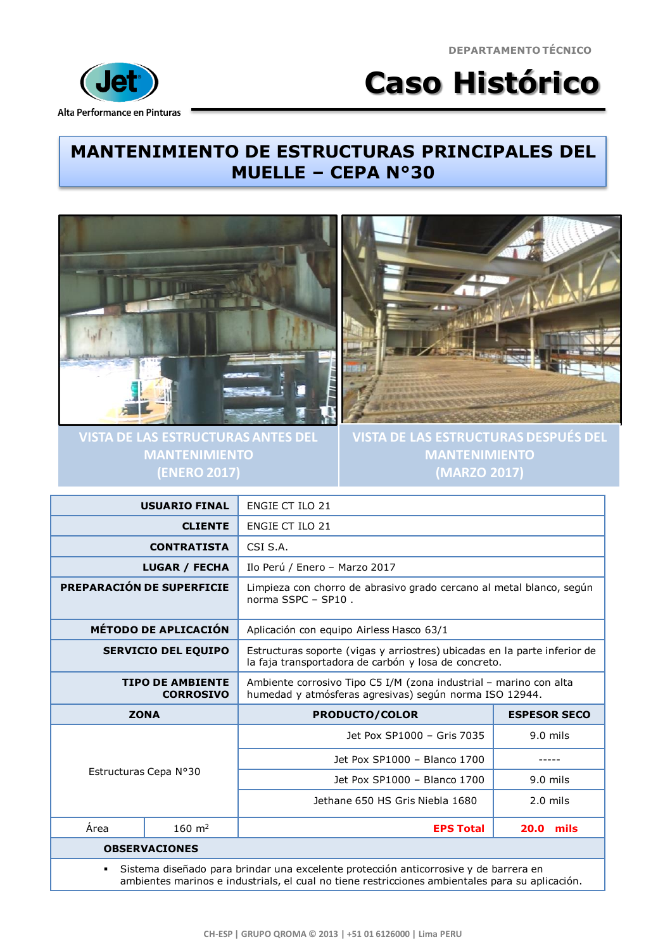**DEPARTAMENTO TÉCNICO**



## **Caso Histórico**

## **MANTENIMIENTO DE ESTRUCTURAS PRINCIPALES DEL MUELLE – CEPA N°30**



**VISTA DE LAS ESTRUCTURAS ANTES DEL MANTENIMIENTO (ENERO 2017)**



**VISTA DE LAS ESTRUCTURAS DESPUÉS DEL MANTENIMIENTO (MARZO 2017)**

| · Sistema diseñado para brindar una excelente protección anticorrosive y de barrera en |                     |                                                                                                                                   |                     |  |
|----------------------------------------------------------------------------------------|---------------------|-----------------------------------------------------------------------------------------------------------------------------------|---------------------|--|
| <b>OBSERVACIONES</b>                                                                   |                     |                                                                                                                                   |                     |  |
| Área                                                                                   | $160 \; \text{m}^2$ | <b>EPS Total</b>                                                                                                                  | <b>20.0 mils</b>    |  |
|                                                                                        |                     | Jethane 650 HS Gris Niebla 1680                                                                                                   | $2.0$ mils          |  |
| Estructuras Cepa Nº30                                                                  |                     | Jet Pox SP1000 - Blanco 1700                                                                                                      | $9.0$ mils          |  |
|                                                                                        |                     | Jet Pox SP1000 - Blanco 1700                                                                                                      |                     |  |
|                                                                                        |                     | Jet Pox SP1000 - Gris 7035                                                                                                        | $9.0$ mils          |  |
| <b>ZONA</b>                                                                            |                     | <b>PRODUCTO/COLOR</b>                                                                                                             | <b>ESPESOR SECO</b> |  |
| <b>TIPO DE AMBIENTE</b><br><b>CORROSIVO</b>                                            |                     | Ambiente corrosivo Tipo C5 I/M (zona industrial - marino con alta<br>humedad y atmósferas agresivas) según norma ISO 12944.       |                     |  |
| <b>SERVICIO DEL EQUIPO</b>                                                             |                     | Estructuras soporte (vigas y arriostres) ubicadas en la parte inferior de<br>la faja transportadora de carbón y losa de concreto. |                     |  |
| <b>MÉTODO DE APLICACIÓN</b>                                                            |                     | Aplicación con equipo Airless Hasco 63/1                                                                                          |                     |  |
| PREPARACIÓN DE SUPERFICIE                                                              |                     | Limpieza con chorro de abrasivo grado cercano al metal blanco, según<br>norma SSPC - SP10.                                        |                     |  |
| <b>LUGAR / FECHA</b>                                                                   |                     | Ilo Perú / Enero - Marzo 2017                                                                                                     |                     |  |
| <b>CONTRATISTA</b>                                                                     |                     | CSI S.A.                                                                                                                          |                     |  |
| <b>CLIENTE</b>                                                                         |                     | <b>ENGIE CT ILO 21</b>                                                                                                            |                     |  |
| <b>USUARIO FINAL</b>                                                                   |                     | <b>ENGIE CT ILO 21</b>                                                                                                            |                     |  |

Sistema diseñado para brindar una excelente protección anticorrosive y de barrera en ambientes marinos e industrials, el cual no tiene restricciones ambientales para su aplicación.